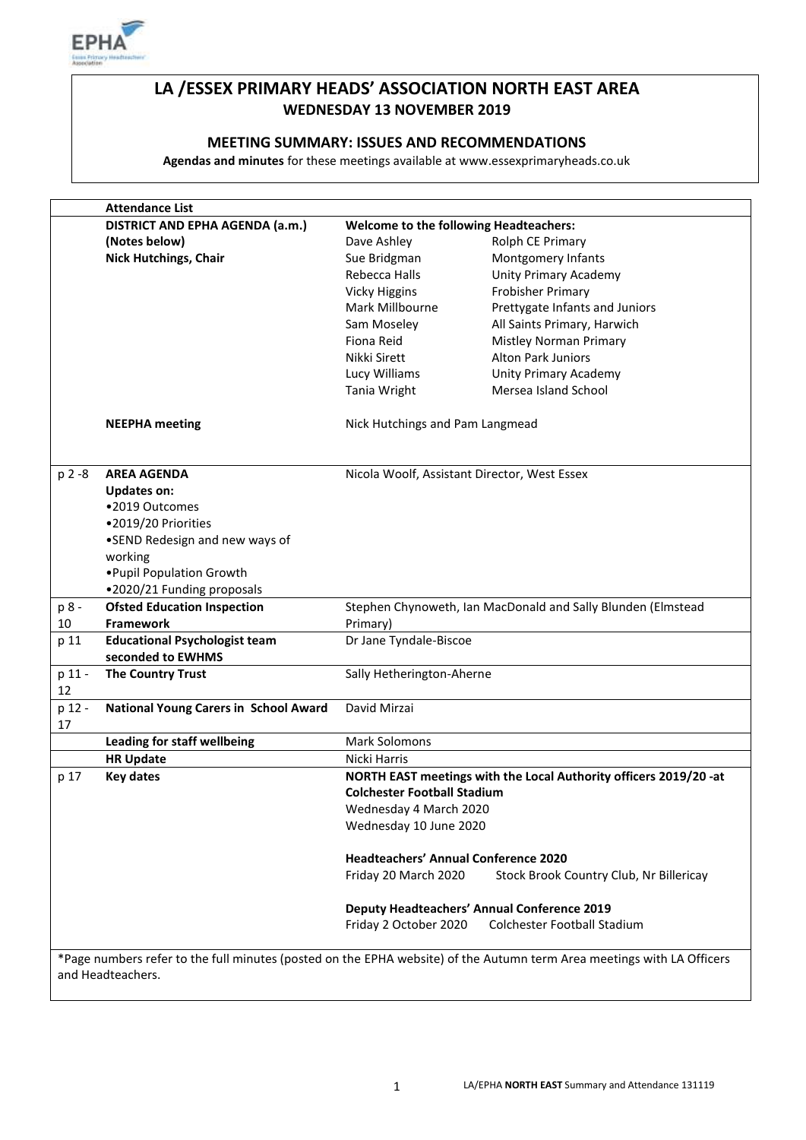

# **LA /ESSEX PRIMARY HEADS' ASSOCIATION NORTH EAST AREA WEDNESDAY 13 NOVEMBER 2019**

#### **MEETING SUMMARY: ISSUES AND RECOMMENDATIONS**

**Agendas and minutes** for these meetings available at www.essexprimaryheads.co.uk

|                                                                                                                                             | <b>Attendance List</b>                          |                                                                          |                                         |  |
|---------------------------------------------------------------------------------------------------------------------------------------------|-------------------------------------------------|--------------------------------------------------------------------------|-----------------------------------------|--|
|                                                                                                                                             | DISTRICT AND EPHA AGENDA (a.m.)                 | <b>Welcome to the following Headteachers:</b>                            |                                         |  |
|                                                                                                                                             | (Notes below)                                   | Dave Ashley                                                              | Rolph CE Primary                        |  |
|                                                                                                                                             | <b>Nick Hutchings, Chair</b>                    | Sue Bridgman                                                             | Montgomery Infants                      |  |
|                                                                                                                                             |                                                 | Rebecca Halls                                                            | Unity Primary Academy                   |  |
|                                                                                                                                             |                                                 | <b>Vicky Higgins</b>                                                     | <b>Frobisher Primary</b>                |  |
|                                                                                                                                             |                                                 | Mark Millbourne                                                          | Prettygate Infants and Juniors          |  |
|                                                                                                                                             |                                                 | Sam Moseley                                                              | All Saints Primary, Harwich             |  |
|                                                                                                                                             |                                                 | Fiona Reid                                                               | <b>Mistley Norman Primary</b>           |  |
|                                                                                                                                             |                                                 | Nikki Sirett                                                             | <b>Alton Park Juniors</b>               |  |
|                                                                                                                                             |                                                 | Lucy Williams                                                            | <b>Unity Primary Academy</b>            |  |
|                                                                                                                                             |                                                 | Tania Wright                                                             | Mersea Island School                    |  |
|                                                                                                                                             |                                                 |                                                                          |                                         |  |
|                                                                                                                                             | <b>NEEPHA</b> meeting                           | Nick Hutchings and Pam Langmead                                          |                                         |  |
| $p 2 - 8$                                                                                                                                   | <b>AREA AGENDA</b>                              | Nicola Woolf, Assistant Director, West Essex                             |                                         |  |
|                                                                                                                                             | <b>Updates on:</b>                              |                                                                          |                                         |  |
|                                                                                                                                             | •2019 Outcomes                                  |                                                                          |                                         |  |
|                                                                                                                                             | •2019/20 Priorities                             |                                                                          |                                         |  |
|                                                                                                                                             | •SEND Redesign and new ways of                  |                                                                          |                                         |  |
|                                                                                                                                             | working                                         |                                                                          |                                         |  |
|                                                                                                                                             | . Pupil Population Growth                       |                                                                          |                                         |  |
|                                                                                                                                             |                                                 |                                                                          |                                         |  |
|                                                                                                                                             | .2020/21 Funding proposals                      |                                                                          |                                         |  |
| p 8 -<br>10                                                                                                                                 | <b>Ofsted Education Inspection</b><br>Framework | Stephen Chynoweth, Ian MacDonald and Sally Blunden (Elmstead<br>Primary) |                                         |  |
|                                                                                                                                             | <b>Educational Psychologist team</b>            | Dr Jane Tyndale-Biscoe                                                   |                                         |  |
| p 11                                                                                                                                        | seconded to EWHMS                               |                                                                          |                                         |  |
| p 11 -                                                                                                                                      | <b>The Country Trust</b>                        | Sally Hetherington-Aherne                                                |                                         |  |
| 12                                                                                                                                          |                                                 |                                                                          |                                         |  |
| p 12 -                                                                                                                                      | <b>National Young Carers in School Award</b>    | David Mirzai                                                             |                                         |  |
| 17                                                                                                                                          |                                                 |                                                                          |                                         |  |
|                                                                                                                                             | <b>Leading for staff wellbeing</b>              | <b>Mark Solomons</b>                                                     |                                         |  |
|                                                                                                                                             | <b>HR Update</b>                                | Nicki Harris                                                             |                                         |  |
| p 17                                                                                                                                        | <b>Key dates</b>                                | NORTH EAST meetings with the Local Authority officers 2019/20 -at        |                                         |  |
|                                                                                                                                             |                                                 | <b>Colchester Football Stadium</b>                                       |                                         |  |
|                                                                                                                                             |                                                 | Wednesday 4 March 2020                                                   |                                         |  |
|                                                                                                                                             |                                                 | Wednesday 10 June 2020                                                   |                                         |  |
|                                                                                                                                             |                                                 |                                                                          |                                         |  |
|                                                                                                                                             |                                                 | <b>Headteachers' Annual Conference 2020</b>                              |                                         |  |
|                                                                                                                                             |                                                 | Friday 20 March 2020                                                     | Stock Brook Country Club, Nr Billericay |  |
|                                                                                                                                             |                                                 | <b>Deputy Headteachers' Annual Conference 2019</b>                       |                                         |  |
|                                                                                                                                             |                                                 | Friday 2 October 2020                                                    | <b>Colchester Football Stadium</b>      |  |
|                                                                                                                                             |                                                 |                                                                          |                                         |  |
| *Page numbers refer to the full minutes (posted on the EPHA website) of the Autumn term Area meetings with LA Officers<br>and Headteachers. |                                                 |                                                                          |                                         |  |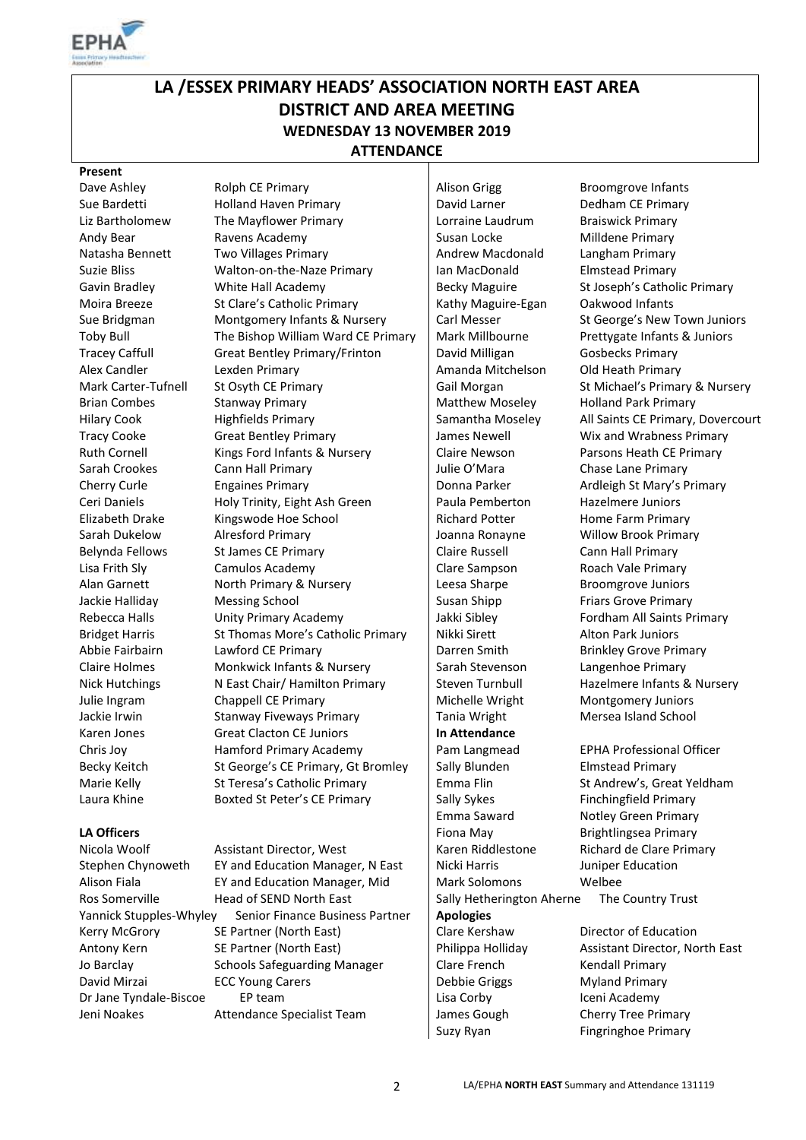

# **LA /ESSEX PRIMARY HEADS' ASSOCIATION NORTH EAST AREA DISTRICT AND AREA MEETING WEDNESDAY 13 NOVEMBER 2019 ATTENDANCE**

#### **Present**

Jo Barclay David Mirzai

Sue Bardetti **Holland Haven Primary David Larner** Dedham CE Primary Liz Bartholomew The Mayflower Primary Lorraine Laudrum Braiswick Primary Andy Bear **Ravens Academy** Susan Locke Milldene Primary Natasha Bennett Two Villages Primary **Andrew Macdonald** Langham Primary Suzie Bliss **Suzie Bliss** Walton-on-the-Naze Primary **Ian MacDonald** Elmstead Primary Gavin Bradley **White Hall Academy Becky Maguire** St Joseph's Catholic Primary Moira Breeze St Clare's Catholic Primary | Kathy Maguire-Egan Oakwood Infants Sue Bridgman Montgomery Infants & Nursery Carl Messer St George's New Town Juniors Toby Bull The Bishop William Ward CE Primary | Mark Millbourne Prettygate Infants & Juniors Tracey Caffull Great Bentley Primary/Frinton David Milligan Gosbecks Primary Alex Candler **Lexden Primary Lexten Amanda Mitchelson** Old Heath Primary Mark Carter-Tufnell St Osyth CE Primary Gail Morgan St Michael's Primary & Nursery Brian Combes Stanway Primary Matthew Moseley Holland Park Primary Hilary Cook Highfields Primary Samantha Moseley All Saints CE Primary, Dovercourt Tracy Cooke Great Bentley Primary James Newell Wix and Wrabness Primary Ruth Cornell Kings Ford Infants & Nursery Claire Newson Parsons Heath CE Primary Sarah Crookes Cann Hall Primary Chase Lane Primary Julie O'Mara Chase Lane Primary Cherry Curle Engaines Primary Donna Parker Ardleigh St Mary's Primary Ceri Daniels **Holy Trinity, Eight Ash Green** Paula Pemberton Hazelmere Juniors Elizabeth Drake Kingswode Hoe School Richard Potter Home Farm Primary Sarah Dukelow Alresford Primary Allector Allector Allector Allector Allector Allector Allector Allector Allecto Belynda Fellows St James CE Primary Claire Russell Cann Hall Primary Lisa Frith Sly Camulos Academy Clare Sampson Roach Vale Primary Alan Garnett **North Primary & Nursery** Leesa Sharpe Broomgrove Juniors Jackie Halliday Messing School Susan Shipp Friars Grove Primary Rebecca Halls **Example 2 Unity Primary Academy** Jakki Sibley **Fordham All Saints Primary** Bridget Harris St Thomas More's Catholic Primary Nikki Sirett Alton Park Juniors Abbie Fairbairn Lawford CE Primary **Darren Smith Brinkley Grove Primary** Darren Smith Claire Holmes Monkwick Infants & Nursery Sarah Stevenson Langenhoe Primary Nick Hutchings Nicast Chair/ Hamilton Primary Steven Turnbull Hazelmere Infants & Nursery Julie Ingram Chappell CE Primary Michelle Wright Montgomery Juniors Jackie Irwin **Stanway Fiveways Primary** Tania Wright Mersea Island School Karen Jones **Great Clacton CE Juniors In Attendance** Chris Joy Hamford Primary Academy Pam Langmead EPHA Professional Officer Becky Keitch St George's CE Primary, Gt Bromley Sally Blunden Elmstead Primary Marie Kelly St Teresa's Catholic Primary Emma Flin St Andrew's, Great Yeldham Laura Khine Boxted St Peter's CE Primary Sally Sykes Finchingfield Primary

Nicola Woolf **Assistant Director, West** Karen Riddlestone Richard de Clare Primary Stephen Chynoweth EY and Education Manager, N East | Nicki Harris Juniper Education Alison Fiala EY and Education Manager, Mid Mark Solomons Welbee Ros Somerville Head of SEND North East Sally Hetherington Aherne The Country Trust Yannick Stupples-Whyley Senior Finance Business Partner **Apologies** Kerry McGrory SE Partner (North East) Clare Kershaw Director of Education Antony Kern SE Partner (North East) Philippa Holliday Assistant Director, North East Schools Safeguarding Manager ECC Young Carers Dr Jane Tyndale-Biscoe EP team Lisa Corby Lisa Corby Iceni Academy Jeni Noakes Attendance Specialist Team James Gough Cherry Tree Primary

Dave Ashley **Rolph CE Primary Alison Grigg** Broomgrove Infants Clare French Debbie Griggs

Emma Saward Notley Green Primary **LA Officers** Final Research Contact LA Contact A LA Officers **Finally** Fional May **Final Research Contact A LA Officers** Contact A LA Contact A LA Contact A LA Contact A LA Contact A LA Contact A LA Contact A LA Contact A

> Kendall Primary Myland Primary Suzy Ryan Fingringhoe Primary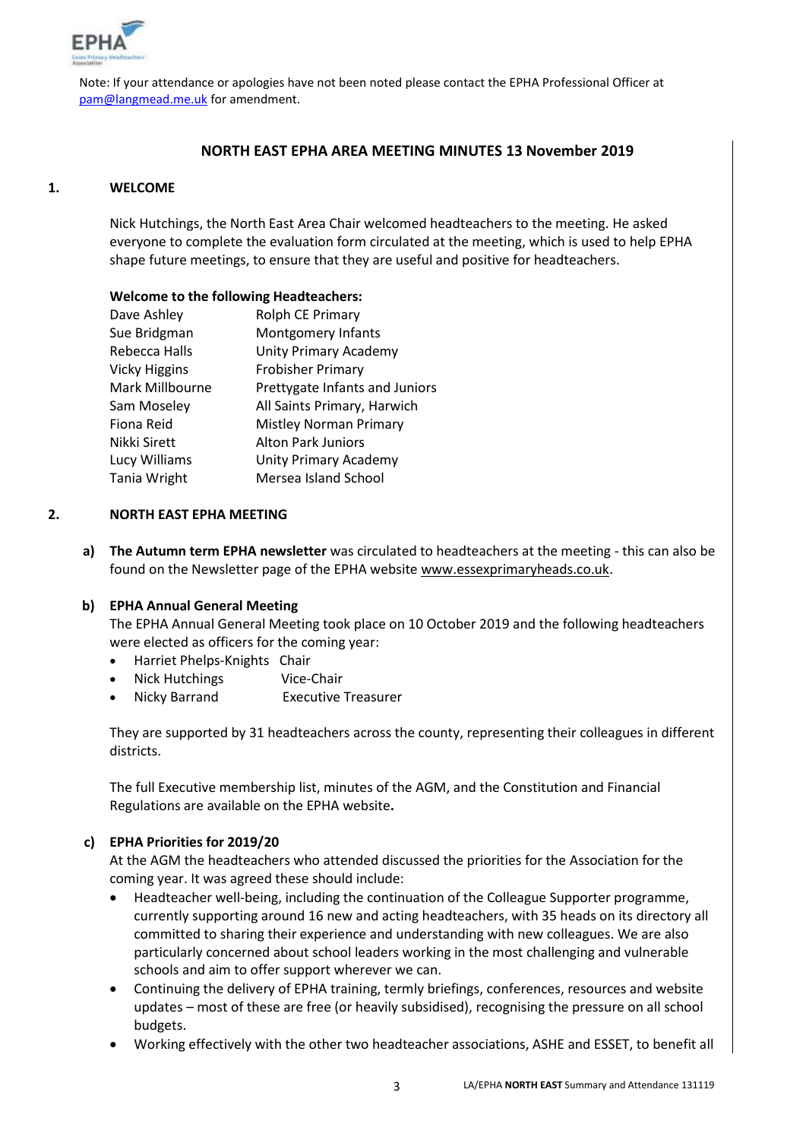

Note: If your attendance or apologies have not been noted please contact the EPHA Professional Officer at [pam@langmead.me.uk](mailto:pam@langmead.me.uk) for amendment.

#### **NORTH EAST EPHA AREA MEETING MINUTES 13 November 2019**

#### **1. WELCOME**

Nick Hutchings, the North East Area Chair welcomed headteachers to the meeting. He asked everyone to complete the evaluation form circulated at the meeting, which is used to help EPHA shape future meetings, to ensure that they are useful and positive for headteachers.

#### **Welcome to the following Headteachers:**

| Dave Ashley     | Rolph CE Primary               |
|-----------------|--------------------------------|
| Sue Bridgman    | Montgomery Infants             |
| Rebecca Halls   | <b>Unity Primary Academy</b>   |
| Vicky Higgins   | <b>Frobisher Primary</b>       |
| Mark Millbourne | Prettygate Infants and Juniors |
| Sam Moseley     | All Saints Primary, Harwich    |
| Fiona Reid      | <b>Mistley Norman Primary</b>  |
| Nikki Sirett    | <b>Alton Park Juniors</b>      |
| Lucy Williams   | <b>Unity Primary Academy</b>   |
| Tania Wright    | Mersea Island School           |

#### **2. NORTH EAST EPHA MEETING**

**a) The Autumn term EPHA newsletter** was circulated to headteachers at the meeting - this can also be found on the Newsletter page of the EPHA website [www.essexprimaryheads.co.uk.](http://www.essexprimaryheads.co.uk/)

#### **b) EPHA Annual General Meeting**

The EPHA Annual General Meeting took place on 10 October 2019 and the following headteachers were elected as officers for the coming year:

- Harriet Phelps-Knights Chair
- Nick Hutchings Vice-Chair
- Nicky Barrand Executive Treasurer

They are supported by 31 headteachers across the county, representing their colleagues in different districts.

The full Executive membership list, minutes of the AGM, and the Constitution and Financial Regulations are available on the EPHA website**.** 

#### **c) EPHA Priorities for 2019/20**

At the AGM the headteachers who attended discussed the priorities for the Association for the coming year. It was agreed these should include:

- Headteacher well-being, including the continuation of the Colleague Supporter programme, currently supporting around 16 new and acting headteachers, with 35 heads on its directory all committed to sharing their experience and understanding with new colleagues. We are also particularly concerned about school leaders working in the most challenging and vulnerable schools and aim to offer support wherever we can.
- Continuing the delivery of EPHA training, termly briefings, conferences, resources and website updates – most of these are free (or heavily subsidised), recognising the pressure on all school budgets.
- Working effectively with the other two headteacher associations, ASHE and ESSET, to benefit all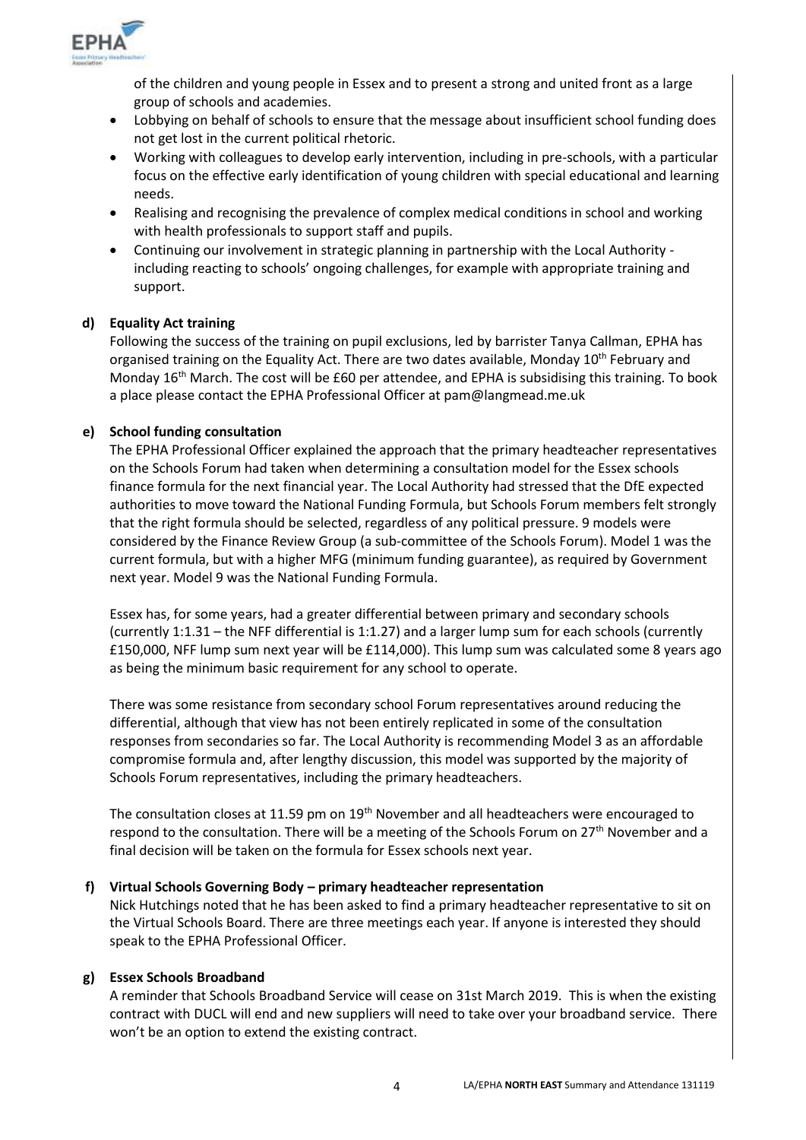

of the children and young people in Essex and to present a strong and united front as a large group of schools and academies.

- Lobbying on behalf of schools to ensure that the message about insufficient school funding does not get lost in the current political rhetoric.
- Working with colleagues to develop early intervention, including in pre-schools, with a particular focus on the effective early identification of young children with special educational and learning needs.
- Realising and recognising the prevalence of complex medical conditions in school and working with health professionals to support staff and pupils.
- Continuing our involvement in strategic planning in partnership with the Local Authority including reacting to schools' ongoing challenges, for example with appropriate training and support.

### **d) Equality Act training**

Following the success of the training on pupil exclusions, led by barrister Tanya Callman, EPHA has organised training on the Equality Act. There are two dates available, Monday 10<sup>th</sup> February and Monday 16<sup>th</sup> March. The cost will be £60 per attendee, and EPHA is subsidising this training. To book a place please contact the EPHA Professional Officer at pam@langmead.me.uk

#### **e) School funding consultation**

The EPHA Professional Officer explained the approach that the primary headteacher representatives on the Schools Forum had taken when determining a consultation model for the Essex schools finance formula for the next financial year. The Local Authority had stressed that the DfE expected authorities to move toward the National Funding Formula, but Schools Forum members felt strongly that the right formula should be selected, regardless of any political pressure. 9 models were considered by the Finance Review Group (a sub-committee of the Schools Forum). Model 1 was the current formula, but with a higher MFG (minimum funding guarantee), as required by Government next year. Model 9 was the National Funding Formula.

Essex has, for some years, had a greater differential between primary and secondary schools (currently 1:1.31 – the NFF differential is 1:1.27) and a larger lump sum for each schools (currently £150,000, NFF lump sum next year will be £114,000). This lump sum was calculated some 8 years ago as being the minimum basic requirement for any school to operate.

There was some resistance from secondary school Forum representatives around reducing the differential, although that view has not been entirely replicated in some of the consultation responses from secondaries so far. The Local Authority is recommending Model 3 as an affordable compromise formula and, after lengthy discussion, this model was supported by the majority of Schools Forum representatives, including the primary headteachers.

The consultation closes at 11.59 pm on 19<sup>th</sup> November and all headteachers were encouraged to respond to the consultation. There will be a meeting of the Schools Forum on  $27<sup>th</sup>$  November and a final decision will be taken on the formula for Essex schools next year.

#### **f) Virtual Schools Governing Body – primary headteacher representation**

Nick Hutchings noted that he has been asked to find a primary headteacher representative to sit on the Virtual Schools Board. There are three meetings each year. If anyone is interested they should speak to the EPHA Professional Officer.

#### **g) Essex Schools Broadband**

A reminder that Schools Broadband Service will cease on 31st March 2019. This is when the existing contract with DUCL will end and new suppliers will need to take over your broadband service. There won't be an option to extend the existing contract.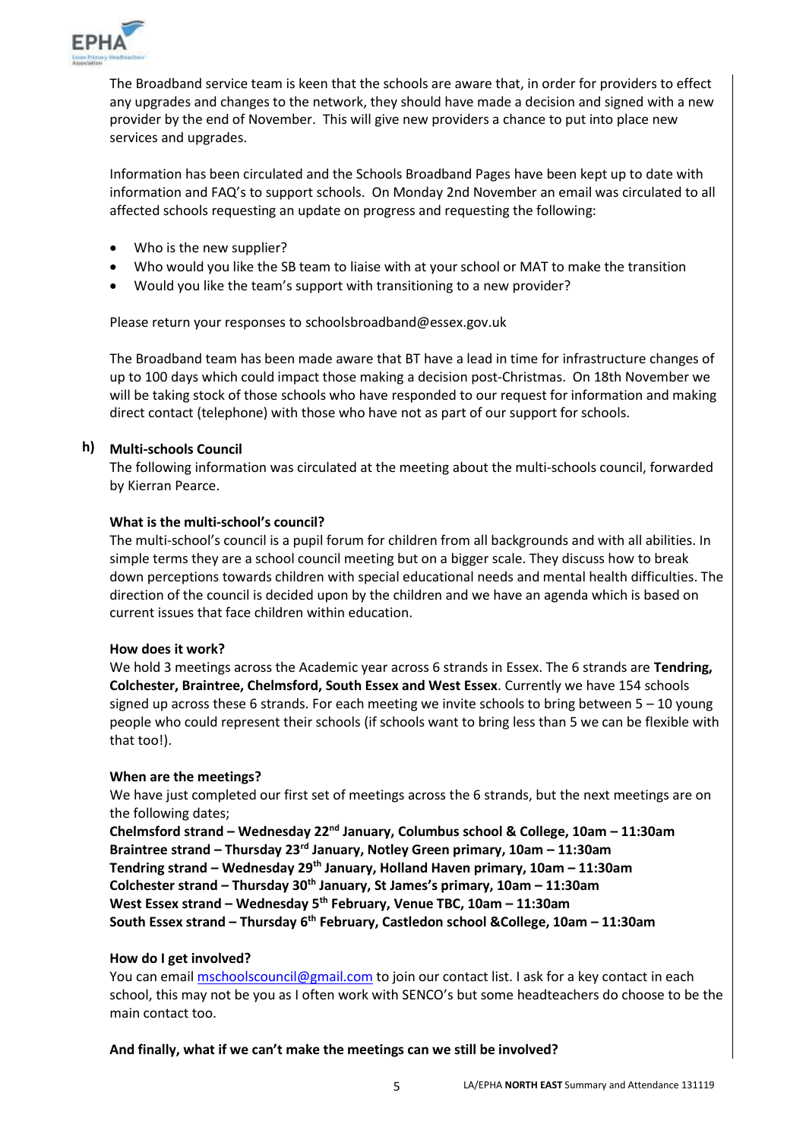

The Broadband service team is keen that the schools are aware that, in order for providers to effect any upgrades and changes to the network, they should have made a decision and signed with a new provider by the end of November. This will give new providers a chance to put into place new services and upgrades.

Information has been circulated and the [Schools Broadband Pages](https://eur02.safelinks.protection.outlook.com/?url=https%3A%2F%2Fschools.essex.gov.uk%2Fadmin%2FBroadband%2FPages%2FBroadband.aspx&data=02%7C01%7C%7C75458fae09d34e13cdcf08d763913b54%7Ca8b4324f155c4215a0f17ed8cc9a992f%7C0%7C0%7C637087348365431782&sdata=YSYlUWeu5nc4TD%2BKZPjR%2Bzzm5wj0j26qppUaPNjFOlU%3D&reserved=0) have been kept up to date with information and FAQ's to support schools. On Monday 2nd November an email was circulated to all affected schools requesting an update on progress and requesting the following:

- Who is the new supplier?
- Who would you like the SB team to liaise with at your school or MAT to make the transition
- Would you like the team's support with transitioning to a new provider?

Please return your responses to [schoolsbroadband@essex.gov.uk](mailto:schoolsbroadband@essex.gov.uk)

The Broadband team has been made aware that BT have a lead in time for infrastructure changes of up to 100 days which could impact those making a decision post-Christmas. On 18th November we will be taking stock of those schools who have responded to our request for information and making direct contact (telephone) with those who have not as part of our support for schools.

## **h) Multi-schools Council**

The following information was circulated at the meeting about the multi-schools council, forwarded by Kierran Pearce.

#### **What is the multi-school's council?**

The multi-school's council is a pupil forum for children from all backgrounds and with all abilities. In simple terms they are a school council meeting but on a bigger scale. They discuss how to break down perceptions towards children with special educational needs and mental health difficulties. The direction of the council is decided upon by the children and we have an agenda which is based on current issues that face children within education.

#### **How does it work?**

We hold 3 meetings across the Academic year across 6 strands in Essex. The 6 strands are **Tendring, Colchester, Braintree, Chelmsford, South Essex and West Essex**. Currently we have 154 schools signed up across these 6 strands. For each meeting we invite schools to bring between  $5 - 10$  young people who could represent their schools (if schools want to bring less than 5 we can be flexible with that too!).

#### **When are the meetings?**

We have just completed our first set of meetings across the 6 strands, but the next meetings are on the following dates;

**Chelmsford strand – Wednesday 22nd January, Columbus school & College, 10am – 11:30am Braintree strand – Thursday 23rd January, Notley Green primary, 10am – 11:30am Tendring strand – Wednesday 29th January, Holland Haven primary, 10am – 11:30am Colchester strand – Thursday 30th January, St James's primary, 10am – 11:30am West Essex strand – Wednesday 5th February, Venue TBC, 10am – 11:30am South Essex strand – Thursday 6th February, Castledon school &College, 10am – 11:30am**

#### **How do I get involved?**

You can emai[l mschoolscouncil@gmail.com](mailto:mschoolscouncil@gmail.com) to join our contact list. I ask for a key contact in each school, this may not be you as I often work with SENCO's but some headteachers do choose to be the main contact too.

#### **And finally, what if we can't make the meetings can we still be involved?**